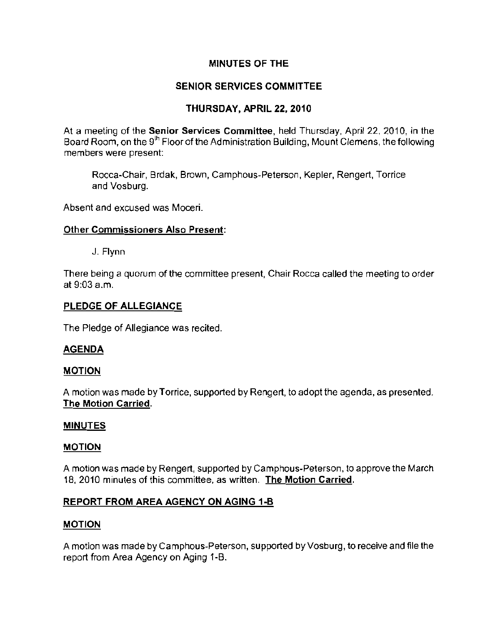## **MINUTES OF THE**

# **SENIOR SERVICES COMMITTEE**

## **THURSDAY, APRIL 22, 2010**

At a meeting of the **Senior Services** Committee, held Thursday, April 22, 2010, in the Board Room, on the 9<sup>th</sup> Floor of the Administration Building, Mount Clemens, the following **members were present:** 

Rocca-Chair, Brdak, Brown, Camphous-Peterson, Kepler, Rengert, Torrice and Vosburg.

**Absent and excused was Moceri.** 

### **Other Commissioners Also Present:**

J. Flynn

There being a quorum of the committee present, Chair Rocca called the meeting to order at 9:03 a.m.

## **PLEDGE OF ALLEGIANCE**

The Pledge of Allegiance was recited.

### **AGENDA**

#### **MOTION**

A motion was made by Torrice, supported by Rengert, to adopt the agenda, as presented. **The Motion Carried.** 

#### **MINUTES**

#### **MOTION**

A motion was made by Rengert, supported by Camphous-Peterson, to approve the March **18,2010 minutes of this committee, as written. The Motion Carried.** 

# **REPORT FROM AREA AGENCY ON AGING 1-B**

### **MOTION**

A motion was made by Camphous-Peterson, supported by Vosburg, to receive and file the report from Area Agency on Aging 1-B.